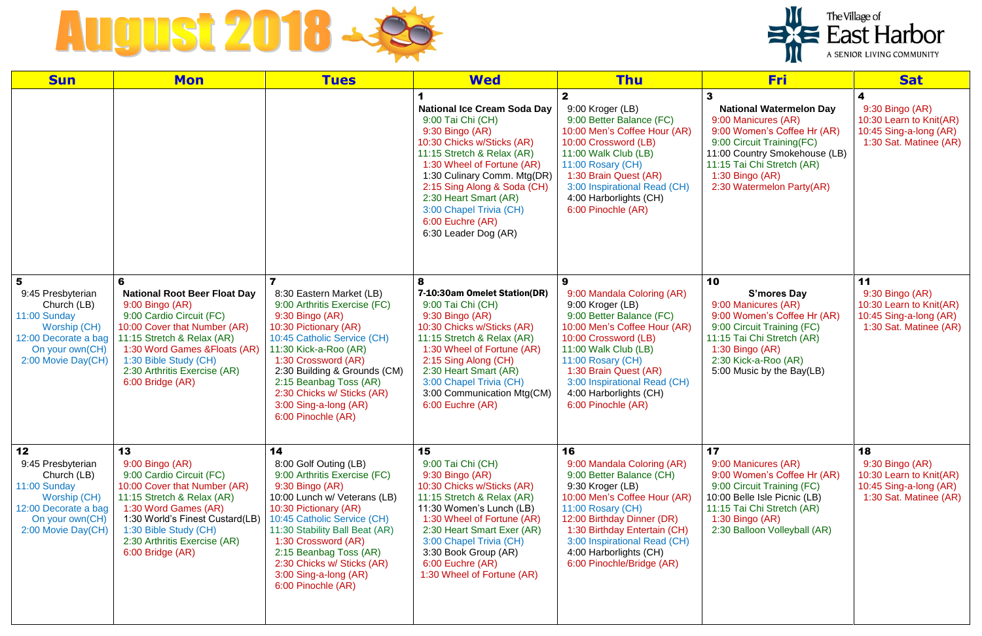

| <b>Sun</b>                                                                                                                              | <b>Mon</b>                                                                                                                                                                                                                                                          | <b>Tues</b>                                                                                                                                                                                                                                                                                                                            | <b>Wed</b>                                                                                                                                                                                                                                                                                                                           | <b>Thu</b>                                                                                                                                                                                                                                                                                 | <b>Fri</b>                                                                                                                                                                                                                       | <b>Sat</b>                                                                                           |
|-----------------------------------------------------------------------------------------------------------------------------------------|---------------------------------------------------------------------------------------------------------------------------------------------------------------------------------------------------------------------------------------------------------------------|----------------------------------------------------------------------------------------------------------------------------------------------------------------------------------------------------------------------------------------------------------------------------------------------------------------------------------------|--------------------------------------------------------------------------------------------------------------------------------------------------------------------------------------------------------------------------------------------------------------------------------------------------------------------------------------|--------------------------------------------------------------------------------------------------------------------------------------------------------------------------------------------------------------------------------------------------------------------------------------------|----------------------------------------------------------------------------------------------------------------------------------------------------------------------------------------------------------------------------------|------------------------------------------------------------------------------------------------------|
|                                                                                                                                         |                                                                                                                                                                                                                                                                     |                                                                                                                                                                                                                                                                                                                                        | <b>National Ice Cream Soda Day</b><br>9:00 Tai Chi (CH)<br>$9:30$ Bingo (AR)<br>10:30 Chicks w/Sticks (AR)<br>11:15 Stretch & Relax (AR)<br>1:30 Wheel of Fortune (AR)<br>1:30 Culinary Comm. Mtg(DR)<br>2:15 Sing Along & Soda (CH)<br>2:30 Heart Smart (AR)<br>3:00 Chapel Trivia (CH)<br>6:00 Euchre (AR)<br>6:30 Leader Dog (AR) | 9:00 Kroger (LB)<br>9:00 Better Balance (FC)<br>10:00 Men's Coffee Hour (AR)<br>10:00 Crossword (LB)<br>11:00 Walk Club (LB)<br>11:00 Rosary (CH)<br>1:30 Brain Quest (AR)<br>3:00 Inspirational Read (CH)<br>4:00 Harborlights (CH)<br>6:00 Pinochle (AR)                                 | <b>National Watermelon Day</b><br>9:00 Manicures (AR)<br>9:00 Women's Coffee Hr (AR)<br>9:00 Circuit Training(FC)<br>11:00 Country Smokehouse (LB)<br>11:15 Tai Chi Stretch (AR)<br>1:30 Bingo (AR)<br>2:30 Watermelon Party(AR) | 4<br>9:30 Bingo (AR)<br>10:30 Learn to Knit(AR)<br>10:45 Sing-a-long (AR)<br>1:30 Sat. Matinee (AR)  |
| 5<br>9:45 Presbyterian<br>Church (LB)<br>11:00 Sunday<br>Worship (CH)<br>12:00 Decorate a bag<br>On your own(CH)<br>2:00 Movie Day(CH)  | 6<br><b>National Root Beer Float Day</b><br>9:00 Bingo (AR)<br>9:00 Cardio Circuit (FC)<br>10:00 Cover that Number (AR)<br>11:15 Stretch & Relax (AR)<br>1:30 Word Games & Floats (AR)<br>1:30 Bible Study (CH)<br>2:30 Arthritis Exercise (AR)<br>6:00 Bridge (AR) | 8:30 Eastern Market (LB)<br>9:00 Arthritis Exercise (FC)<br>9:30 Bingo (AR)<br>10:30 Pictionary (AR)<br>10:45 Catholic Service (CH)<br>11:30 Kick-a-Roo (AR)<br>1:30 Crossword (AR)<br>2:30 Building & Grounds (CM)<br>2:15 Beanbag Toss (AR)<br>2:30 Chicks w/ Sticks (AR)<br>3:00 Sing-a-long (AR)<br>6:00 Pinochle (AR)             | 7-10:30am Omelet Station(DR)<br>9:00 Tai Chi (CH)<br>9:30 Bingo (AR)<br>10:30 Chicks w/Sticks (AR)<br>11:15 Stretch & Relax (AR)<br>1:30 Wheel of Fortune (AR)<br>2:15 Sing Along (CH)<br>2:30 Heart Smart (AR)<br>3:00 Chapel Trivia (CH)<br>3:00 Communication Mtg(CM)<br>6:00 Euchre (AR)                                         | 9:00 Mandala Coloring (AR)<br>9:00 Kroger (LB)<br>9:00 Better Balance (FC)<br>10:00 Men's Coffee Hour (AR)<br>10:00 Crossword (LB)<br>11:00 Walk Club (LB)<br>11:00 Rosary (CH)<br>1:30 Brain Quest (AR)<br>3:00 Inspirational Read (CH)<br>4:00 Harborlights (CH)<br>6:00 Pinochle (AR)   | 10<br><b>S'mores Day</b><br>9:00 Manicures (AR)<br>9:00 Women's Coffee Hr (AR)<br>9:00 Circuit Training (FC)<br>11:15 Tai Chi Stretch (AR)<br>$1:30$ Bingo (AR)<br>2:30 Kick-a-Roo (AR)<br>5:00 Music by the Bay(LB)             | 11<br>9:30 Bingo (AR)<br>10:30 Learn to Knit(AR)<br>10:45 Sing-a-long (AR)<br>1:30 Sat. Matinee (AR) |
| 12<br>9:45 Presbyterian<br>Church (LB)<br>11:00 Sunday<br>Worship (CH)<br>12:00 Decorate a bag<br>On your own(CH)<br>2:00 Movie Day(CH) | 13<br>9:00 Bingo (AR)<br>9:00 Cardio Circuit (FC)<br>10:00 Cover that Number (AR)<br>11:15 Stretch & Relax (AR)<br>1:30 Word Games (AR)<br>1:30 World's Finest Custard(LB)<br>1:30 Bible Study (CH)<br>2:30 Arthritis Exercise (AR)<br>6:00 Bridge (AR)             | 14<br>8:00 Golf Outing (LB)<br>9:00 Arthritis Exercise (FC)<br>9:30 Bingo (AR)<br>10:00 Lunch w/ Veterans (LB)<br>10:30 Pictionary (AR)<br>10:45 Catholic Service (CH)<br>11:30 Stability Ball Beat (AR)<br>1:30 Crossword (AR)<br>2:15 Beanbag Toss (AR)<br>2:30 Chicks w/ Sticks (AR)<br>3:00 Sing-a-long (AR)<br>6:00 Pinochle (AR) | 15<br>9:00 Tai Chi (CH)<br>$9:30$ Bingo (AR)<br>10:30 Chicks w/Sticks (AR)<br>11:15 Stretch & Relax (AR)<br>11:30 Women's Lunch (LB)<br>1:30 Wheel of Fortune (AR)<br>2:30 Heart Smart Exer (AR)<br>3:00 Chapel Trivia (CH)<br>3:30 Book Group (AR)<br>6:00 Euchre (AR)<br>1:30 Wheel of Fortune (AR)                                | 16<br>9:00 Mandala Coloring (AR)<br>9:00 Better Balance (CH)<br>9:30 Kroger (LB)<br>10:00 Men's Coffee Hour (AR)<br>11:00 Rosary (CH)<br>12:00 Birthday Dinner (DR)<br>1:30 Birthday Entertain (CH)<br>3:00 Inspirational Read (CH)<br>4:00 Harborlights (CH)<br>6:00 Pinochle/Bridge (AR) | 17<br>9:00 Manicures (AR)<br>9:00 Women's Coffee Hr (AR)<br>9:00 Circuit Training (FC)<br>10:00 Belle Isle Picnic (LB)<br>11:15 Tai Chi Stretch (AR)<br>$1:30$ Bingo (AR)<br>2:30 Balloon Volleyball (AR)                        | 18<br>9:30 Bingo (AR)<br>10:30 Learn to Knit(AR)<br>10:45 Sing-a-long (AR)<br>1:30 Sat. Matinee (AR) |

## The Village of<br>
East Harbor A SENIOR LIVING COMMUNITY